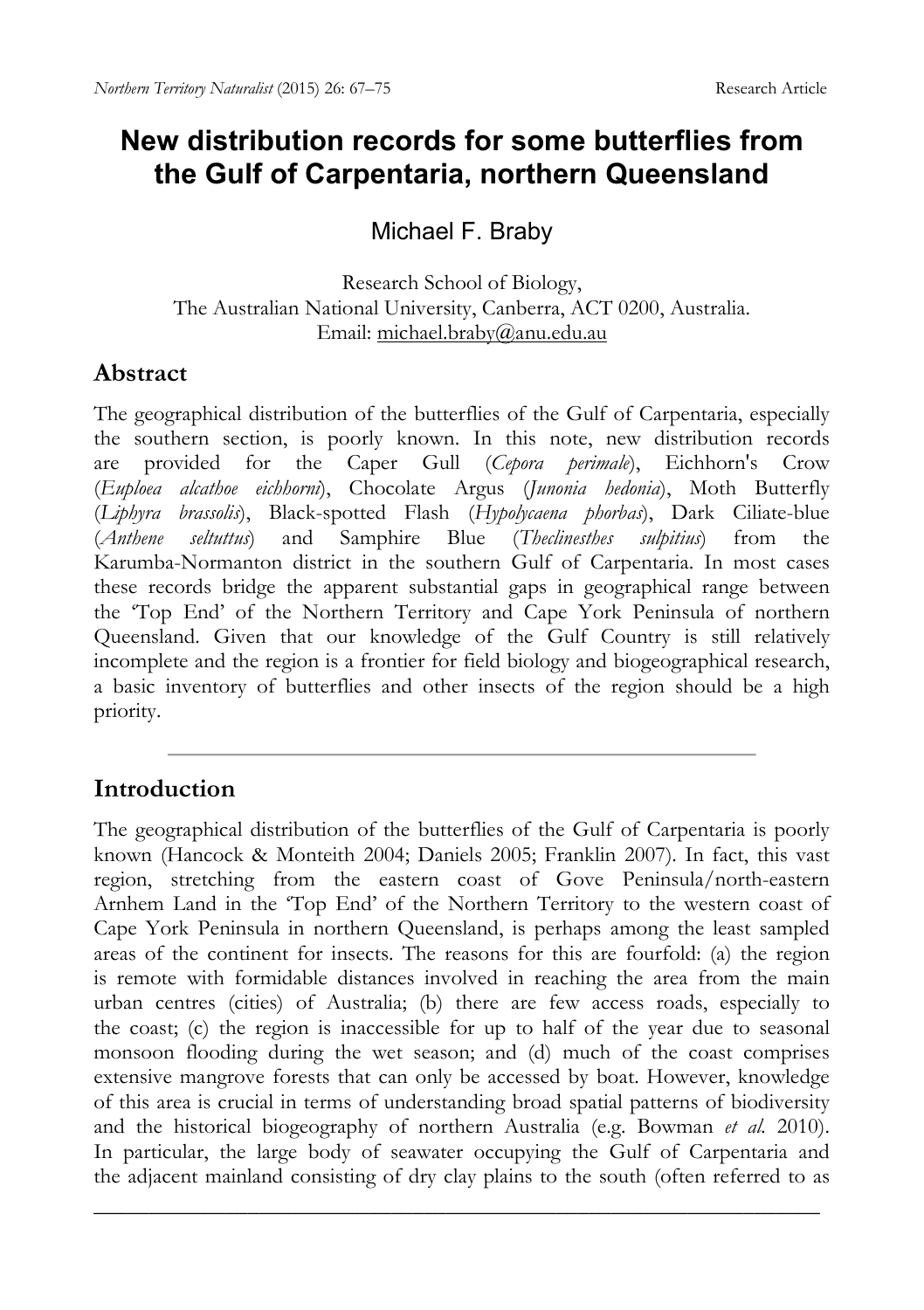# **New distribution records for some butterflies from the Gulf of Carpentaria, northern Queensland**

Michael F. Braby

Research School of Biology, The Australian National University, Canberra, ACT 0200, Australia. Email: [michael.braby@anu.edu.au](mailto:michael.braby@anu.edu.au)

### **Abstract**

The geographical distribution of the butterflies of the Gulf of Carpentaria, especially the southern section, is poorly known. In this note, new distribution records are provided for the Caper Gull (*Cepora perimale*), Eichhorn's Crow (*Euploea alcathoe eichhorni*), Chocolate Argus (*Junonia hedonia*), Moth Butterfly (*Liphyra brassolis*), Black-spotted Flash (*Hypolycaena phorbas*), Dark Ciliate-blue (*Anthene seltuttus*) and Samphire Blue (*Theclinesthes sulpitius*) from the Karumba-Normanton district in the southern Gulf of Carpentaria. In most cases these records bridge the apparent substantial gaps in geographical range between the 'Top End' of the Northern Territory and Cape York Peninsula of northern Queensland. Given that our knowledge of the Gulf Country is still relatively incomplete and the region is a frontier for field biology and biogeographical research, a basic inventory of butterflies and other insects of the region should be a high priority.

### **Introduction**

The geographical distribution of the butterflies of the Gulf of Carpentaria is poorly known (Hancock & Monteith 2004; Daniels 2005; Franklin 2007). In fact, this vast region, stretching from the eastern coast of Gove Peninsula/north-eastern Arnhem Land in the 'Top End' of the Northern Territory to the western coast of Cape York Peninsula in northern Queensland, is perhaps among the least sampled areas of the continent for insects. The reasons for this are fourfold: (a) the region is remote with formidable distances involved in reaching the area from the main urban centres (cities) of Australia; (b) there are few access roads, especially to the coast; (c) the region is inaccessible for up to half of the year due to seasonal monsoon flooding during the wet season; and (d) much of the coast comprises extensive mangrove forests that can only be accessed by boat. However, knowledge of this area is crucial in terms of understanding broad spatial patterns of biodiversity and the historical biogeography of northern Australia (e.g. Bowman *et al.* 2010). In particular, the large body of seawater occupying the Gulf of Carpentaria and the adjacent mainland consisting of dry clay plains to the south (often referred to as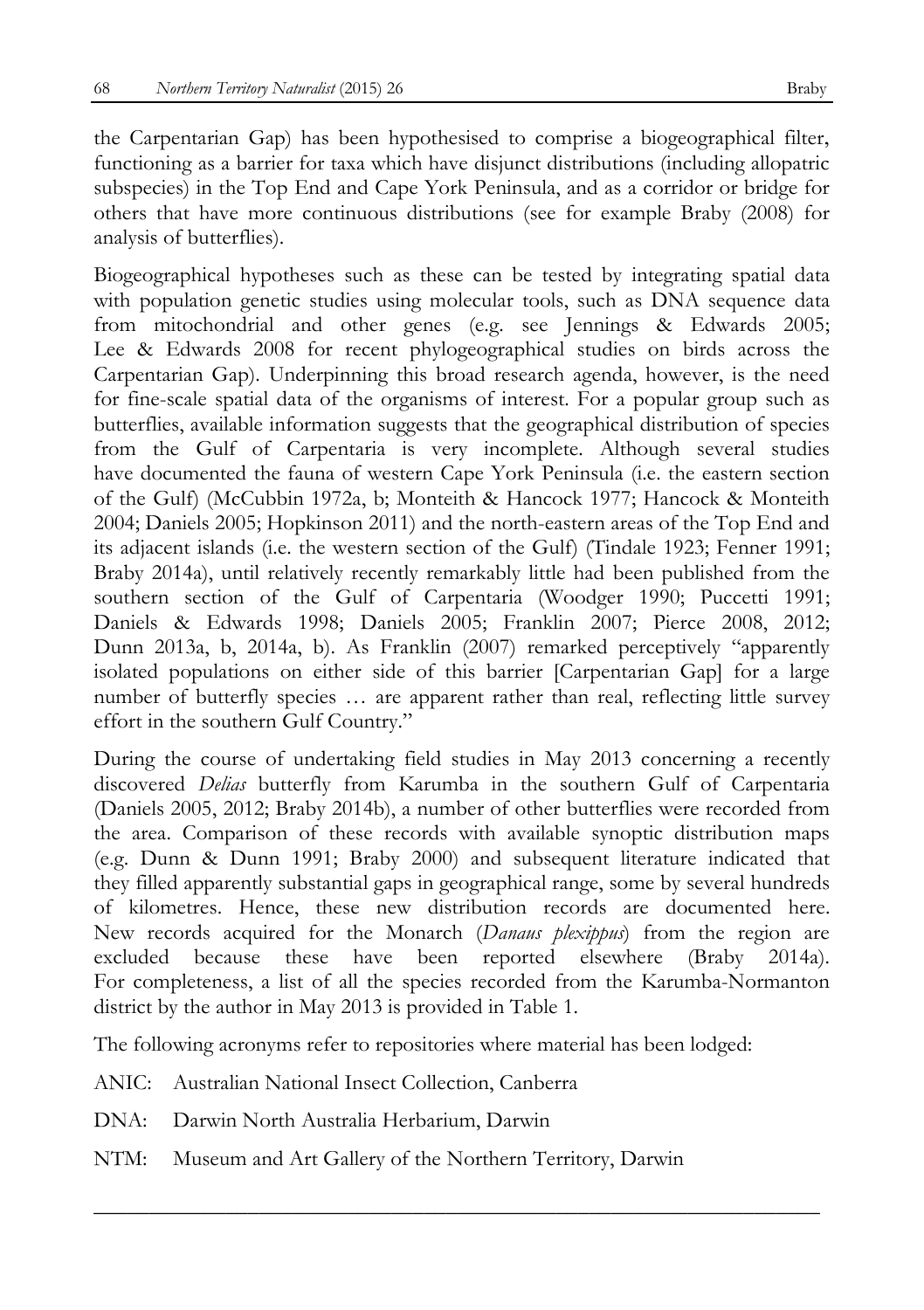the Carpentarian Gap) has been hypothesised to comprise a biogeographical filter, functioning as a barrier for taxa which have disjunct distributions (including allopatric subspecies) in the Top End and Cape York Peninsula, and as a corridor or bridge for others that have more continuous distributions (see for example Braby (2008) for analysis of butterflies).

Biogeographical hypotheses such as these can be tested by integrating spatial data with population genetic studies using molecular tools, such as DNA sequence data from mitochondrial and other genes (e.g. see Jennings & Edwards 2005; Lee & Edwards 2008 for recent phylogeographical studies on birds across the Carpentarian Gap). Underpinning this broad research agenda, however, is the need for fine-scale spatial data of the organisms of interest. For a popular group such as butterflies, available information suggests that the geographical distribution of species from the Gulf of Carpentaria is very incomplete. Although several studies have documented the fauna of western Cape York Peninsula (i.e. the eastern section of the Gulf) (McCubbin 1972a, b; Monteith & Hancock 1977; Hancock & Monteith 2004; Daniels 2005; Hopkinson 2011) and the north-eastern areas of the Top End and its adjacent islands (i.e. the western section of the Gulf) (Tindale 1923; Fenner 1991; Braby 2014a), until relatively recently remarkably little had been published from the southern section of the Gulf of Carpentaria (Woodger 1990; Puccetti 1991; Daniels & Edwards 1998; Daniels 2005; Franklin 2007; Pierce 2008, 2012; Dunn 2013a, b, 2014a, b). As Franklin (2007) remarked perceptively "apparently isolated populations on either side of this barrier [Carpentarian Gap] for a large number of butterfly species … are apparent rather than real, reflecting little survey effort in the southern Gulf Country."

During the course of undertaking field studies in May 2013 concerning a recently discovered *Delias* butterfly from Karumba in the southern Gulf of Carpentaria (Daniels 2005, 2012; Braby 2014b), a number of other butterflies were recorded from the area. Comparison of these records with available synoptic distribution maps (e.g. Dunn & Dunn 1991; Braby 2000) and subsequent literature indicated that they filled apparently substantial gaps in geographical range, some by several hundreds of kilometres. Hence, these new distribution records are documented here. New records acquired for the Monarch (*Danaus plexippus*) from the region are excluded because these have been reported elsewhere (Braby 2014a). For completeness, a list of all the species recorded from the Karumba-Normanton district by the author in May 2013 is provided in Table 1.

The following acronyms refer to repositories where material has been lodged:

- ANIC: Australian National Insect Collection, Canberra
- DNA: Darwin North Australia Herbarium, Darwin
- NTM: Museum and Art Gallery of the Northern Territory, Darwin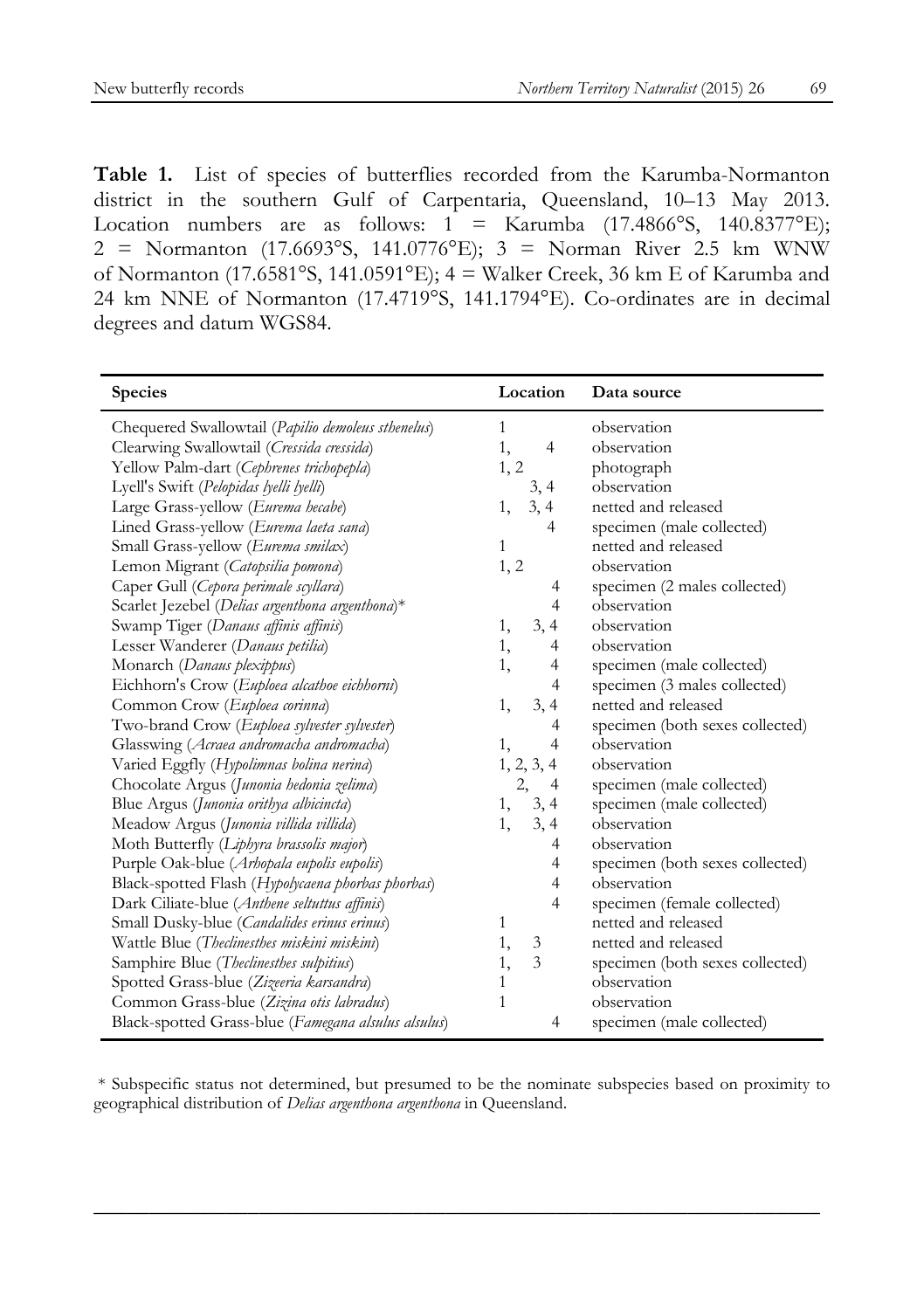**Table 1.** List of species of butterflies recorded from the Karumba-Normanton district in the southern Gulf of Carpentaria, Queensland, 10–13 May 2013. Location numbers are as follows:  $1 =$  Karumba (17.4866°S, 140.8377°E); 2 = Normanton (17.6693°S, 141.0776°E); 3 = Norman River 2.5 km WNW of Normanton (17.6581°S, 141.0591°E); 4 = Walker Creek, 36 km E of Karumba and 24 km NNE of Normanton (17.4719°S, 141.1794°E). Co-ordinates are in decimal degrees and datum WGS84.

| <b>Species</b>                                      | Location             | Data source                     |
|-----------------------------------------------------|----------------------|---------------------------------|
| Chequered Swallowtail (Papilio demoleus sthenelus)  | 1                    | observation                     |
| Clearwing Swallowtail (Cressida cressida)           | 1,<br>$\overline{4}$ | observation                     |
| Yellow Palm-dart (Cephrenes trichopepla)            | 1, 2                 | photograph                      |
| Lyell's Swift (Pelopidas lyelli lyelli)             | 3, 4                 | observation                     |
| Large Grass-yellow (Eurema hecabe)                  | 3, 4<br>1,           | netted and released             |
| Lined Grass-yellow (Eurema laeta sana)              | 4                    | specimen (male collected)       |
| Small Grass-yellow (Eurema smilax)                  | 1                    | netted and released             |
| Lemon Migrant (Catopsilia pomona)                   | 1, 2                 | observation                     |
| Caper Gull (Cepora perimale scyllara)               | 4                    | specimen (2 males collected)    |
| Scarlet Jezebel (Delias argenthona argenthona)*     | $\overline{4}$       | observation                     |
| Swamp Tiger (Danaus affinis affinis)                | 3, 4<br>1,           | observation                     |
| Lesser Wanderer (Danaus petilia)                    | 1,<br>4              | observation                     |
| Monarch (Danaus plexippus)                          | 1,<br>4              | specimen (male collected)       |
| Eichhorn's Crow (Euploea alcathoe eichhorni)        | $\overline{4}$       | specimen (3 males collected)    |
| Common Crow (Euploea corinna)                       | 3, 4<br>1,           | netted and released             |
| Two-brand Crow (Euploea sylvester sylvester)        | 4                    | specimen (both sexes collected) |
| Glasswing (Acraea andromacha andromacha)            | 1,<br>$\overline{4}$ | observation                     |
| Varied Eggfly (Hypolimnas bolina nerina)            | 1, 2, 3, 4           | observation                     |
| Chocolate Argus (Junonia hedonia zelima)            | 2,<br>4              | specimen (male collected)       |
| Blue Argus (Junonia orithya albicincta)             | 3, 4<br>1,           | specimen (male collected)       |
| Meadow Argus (Junonia villida villida)              | 1,<br>3, 4           | observation                     |
| Moth Butterfly (Liphyra brassolis major)            | 4                    | observation                     |
| Purple Oak-blue (Arhopala eupolis eupolis)          | 4                    | specimen (both sexes collected) |
| Black-spotted Flash (Hypolycaena phorbas phorbas)   | $\overline{4}$       | observation                     |
| Dark Ciliate-blue (Anthene seltuttus affinis)       | $\overline{4}$       | specimen (female collected)     |
| Small Dusky-blue (Candalides erinus erinus)         | 1                    | netted and released             |
| Wattle Blue (Theclinesthes miskini miskini)         | 1,<br>3              | netted and released             |
| Samphire Blue (Theclinesthes sulpitius)             | 3<br>1,              | specimen (both sexes collected) |
| Spotted Grass-blue (Zizeeria karsandra)             | 1                    | observation                     |
| Common Grass-blue (Zizina otis labradus)            | 1                    | observation                     |
| Black-spotted Grass-blue (Famegana alsulus alsulus) | $\overline{4}$       | specimen (male collected)       |

\* Subspecific status not determined, but presumed to be the nominate subspecies based on proximity to geographical distribution of *Delias argenthona argenthona* in Queensland.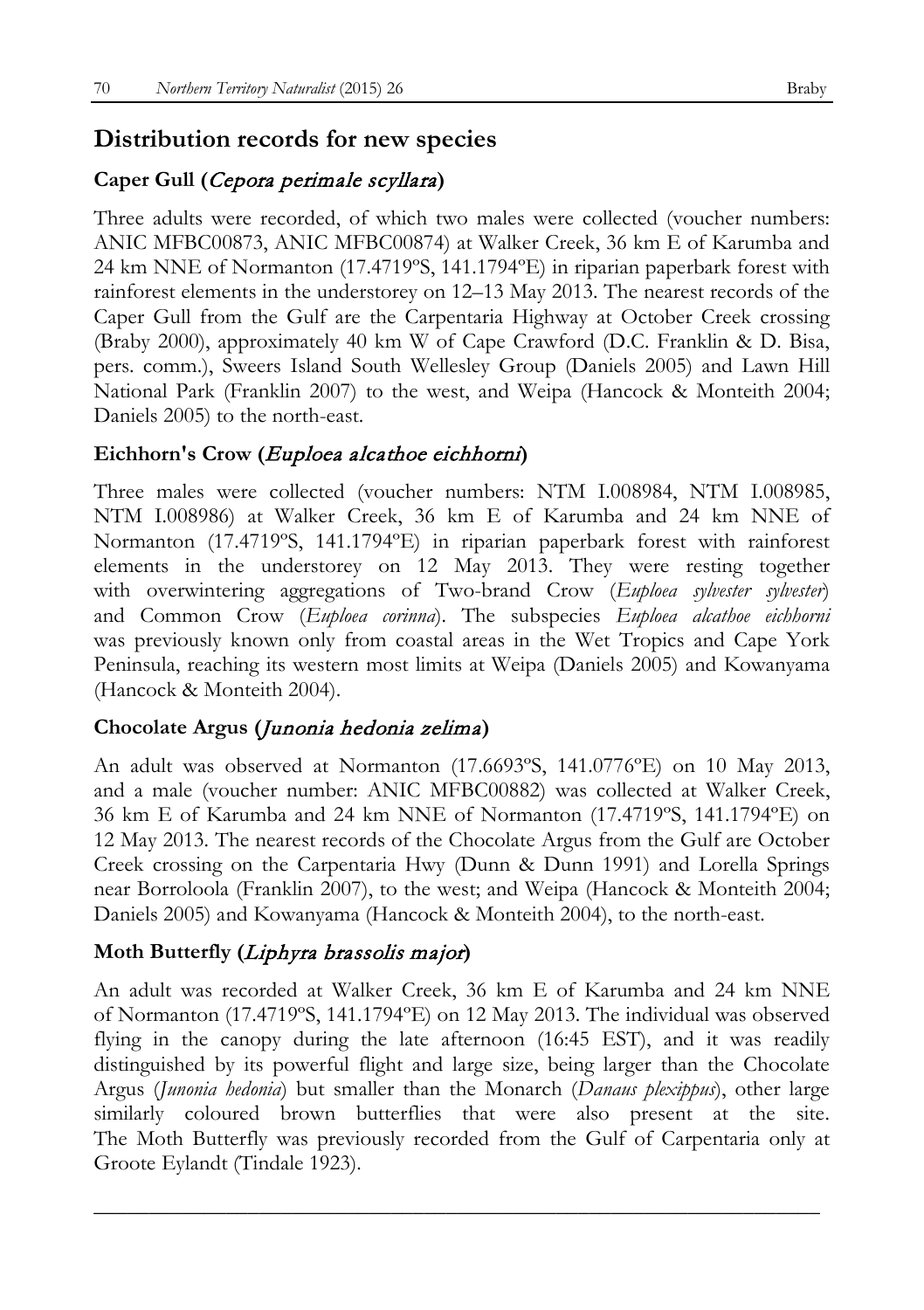### **Distribution records for new species**

#### **Caper Gull (**Cepora perimale scyllara**)**

Three adults were recorded, of which two males were collected (voucher numbers: ANIC MFBC00873, ANIC MFBC00874) at Walker Creek, 36 km E of Karumba and 24 km NNE of Normanton (17.4719ºS, 141.1794ºE) in riparian paperbark forest with rainforest elements in the understorey on 12–13 May 2013. The nearest records of the Caper Gull from the Gulf are the Carpentaria Highway at October Creek crossing (Braby 2000), approximately 40 km W of Cape Crawford (D.C. Franklin & D. Bisa, pers. comm.), Sweers Island South Wellesley Group (Daniels 2005) and Lawn Hill National Park (Franklin 2007) to the west, and Weipa (Hancock & Monteith 2004; Daniels 2005) to the north-east.

#### **Eichhorn's Crow (**Euploea alcathoe eichhorni**)**

Three males were collected (voucher numbers: NTM I.008984, NTM I.008985, NTM I.008986) at Walker Creek, 36 km E of Karumba and 24 km NNE of Normanton (17.4719ºS, 141.1794ºE) in riparian paperbark forest with rainforest elements in the understorey on 12 May 2013. They were resting together with overwintering aggregations of Two-brand Crow (*Euploea sylvester sylvester*) and Common Crow (*Euploea corinna*). The subspecies *Euploea alcathoe eichhorni* was previously known only from coastal areas in the Wet Tropics and Cape York Peninsula, reaching its western most limits at Weipa (Daniels 2005) and Kowanyama (Hancock & Monteith 2004).

#### **Chocolate Argus (**Junonia hedonia zelima**)**

An adult was observed at Normanton (17.6693ºS, 141.0776ºE) on 10 May 2013, and a male (voucher number: ANIC MFBC00882) was collected at Walker Creek, 36 km E of Karumba and 24 km NNE of Normanton (17.4719ºS, 141.1794ºE) on 12 May 2013. The nearest records of the Chocolate Argus from the Gulf are October Creek crossing on the Carpentaria Hwy (Dunn & Dunn 1991) and Lorella Springs near Borroloola (Franklin 2007), to the west; and Weipa (Hancock & Monteith 2004; Daniels 2005) and Kowanyama (Hancock & Monteith 2004), to the north-east.

### **Moth Butterfly (**Liphyra brassolis major**)**

An adult was recorded at Walker Creek, 36 km E of Karumba and 24 km NNE of Normanton (17.4719ºS, 141.1794ºE) on 12 May 2013. The individual was observed flying in the canopy during the late afternoon (16:45 EST), and it was readily distinguished by its powerful flight and large size, being larger than the Chocolate Argus (*Junonia hedonia*) but smaller than the Monarch (*Danaus plexippus*), other large similarly coloured brown butterflies that were also present at the site. The Moth Butterfly was previously recorded from the Gulf of Carpentaria only at Groote Eylandt (Tindale 1923).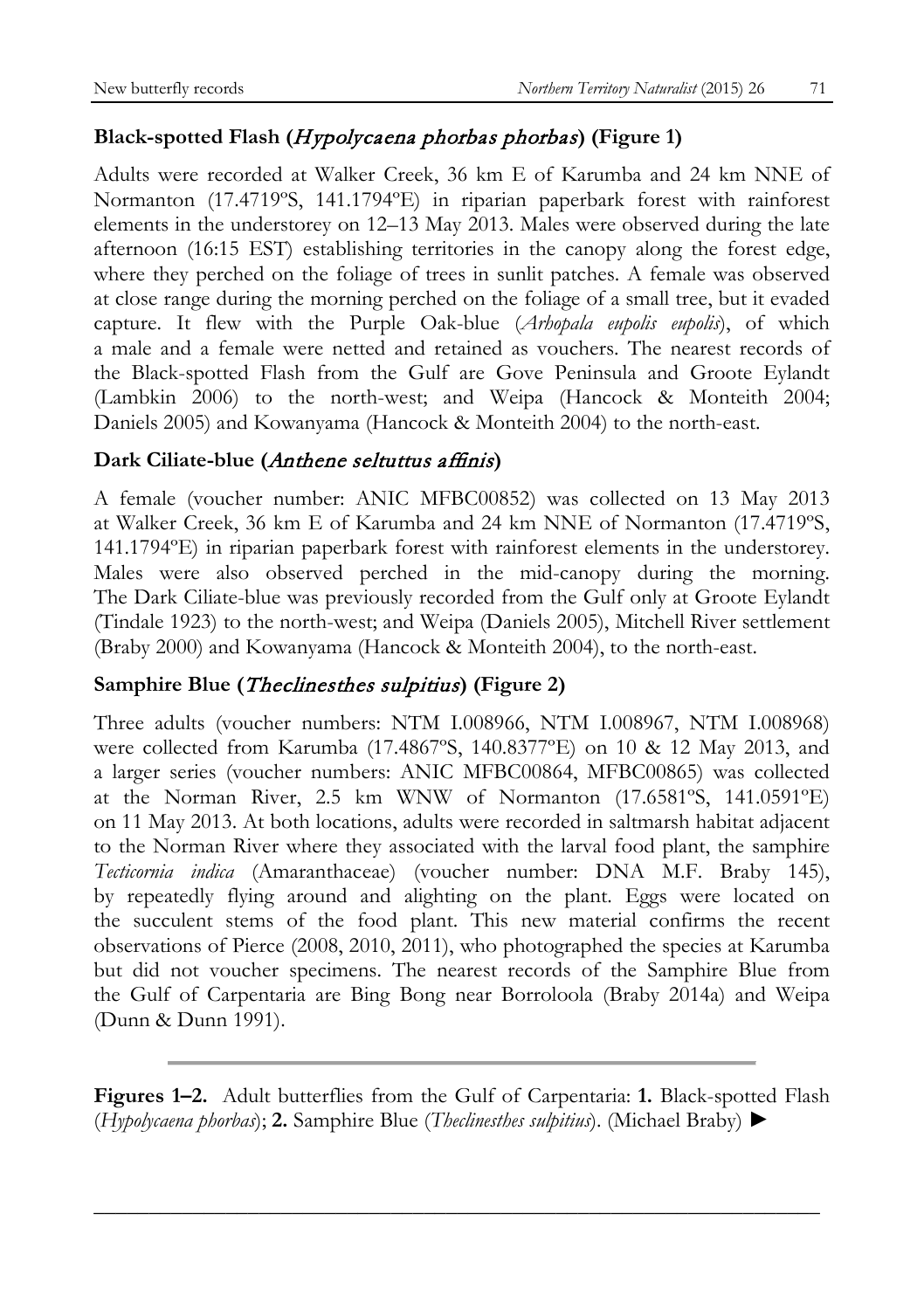### **Black-spotted Flash (**Hypolycaena phorbas phorbas**) (Figure 1)**

Adults were recorded at Walker Creek, 36 km E of Karumba and 24 km NNE of Normanton (17.4719ºS, 141.1794ºE) in riparian paperbark forest with rainforest elements in the understorey on 12–13 May 2013. Males were observed during the late afternoon (16:15 EST) establishing territories in the canopy along the forest edge, where they perched on the foliage of trees in sunlit patches. A female was observed at close range during the morning perched on the foliage of a small tree, but it evaded capture. It flew with the Purple Oak-blue (*Arhopala eupolis eupolis*), of which a male and a female were netted and retained as vouchers. The nearest records of the Black-spotted Flash from the Gulf are Gove Peninsula and Groote Eylandt (Lambkin 2006) to the north-west; and Weipa (Hancock & Monteith 2004; Daniels 2005) and Kowanyama (Hancock & Monteith 2004) to the north-east.

### **Dark Ciliate-blue (**Anthene seltuttus affinis**)**

A female (voucher number: ANIC MFBC00852) was collected on 13 May 2013 at Walker Creek, 36 km E of Karumba and 24 km NNE of Normanton (17.4719ºS, 141.1794ºE) in riparian paperbark forest with rainforest elements in the understorey. Males were also observed perched in the mid-canopy during the morning. The Dark Ciliate-blue was previously recorded from the Gulf only at Groote Eylandt (Tindale 1923) to the north-west; and Weipa (Daniels 2005), Mitchell River settlement (Braby 2000) and Kowanyama (Hancock & Monteith 2004), to the north-east.

### **Samphire Blue (**Theclinesthes sulpitius**) (Figure 2)**

Three adults (voucher numbers: NTM I.008966, NTM I.008967, NTM I.008968) were collected from Karumba (17.4867ºS, 140.8377ºE) on 10 & 12 May 2013, and a larger series (voucher numbers: ANIC MFBC00864, MFBC00865) was collected at the Norman River, 2.5 km WNW of Normanton (17.6581ºS, 141.0591ºE) on 11 May 2013. At both locations, adults were recorded in saltmarsh habitat adjacent to the Norman River where they associated with the larval food plant, the samphire *Tecticornia indica* (Amaranthaceae) (voucher number: DNA M.F. Braby 145), by repeatedly flying around and alighting on the plant. Eggs were located on the succulent stems of the food plant. This new material confirms the recent observations of Pierce (2008, 2010, 2011), who photographed the species at Karumba but did not voucher specimens. The nearest records of the Samphire Blue from the Gulf of Carpentaria are Bing Bong near Borroloola (Braby 2014a) and Weipa (Dunn & Dunn 1991).

**Figures 1–2.** Adult butterflies from the Gulf of Carpentaria: **1.** Black-spotted Flash (*Hypolycaena phorbas*); **2.** Samphire Blue (*Theclinesthes sulpitius*). (Michael Braby) ►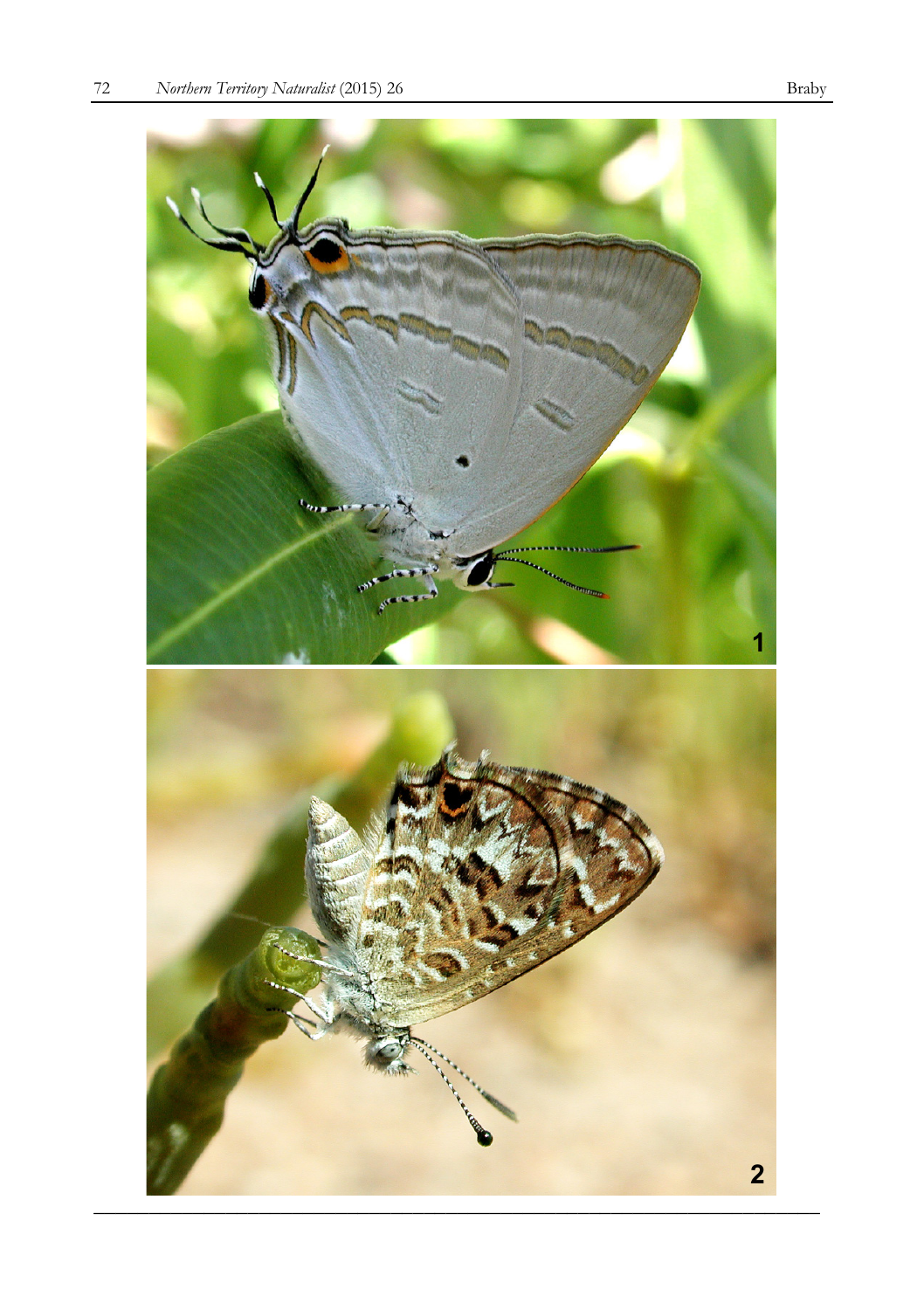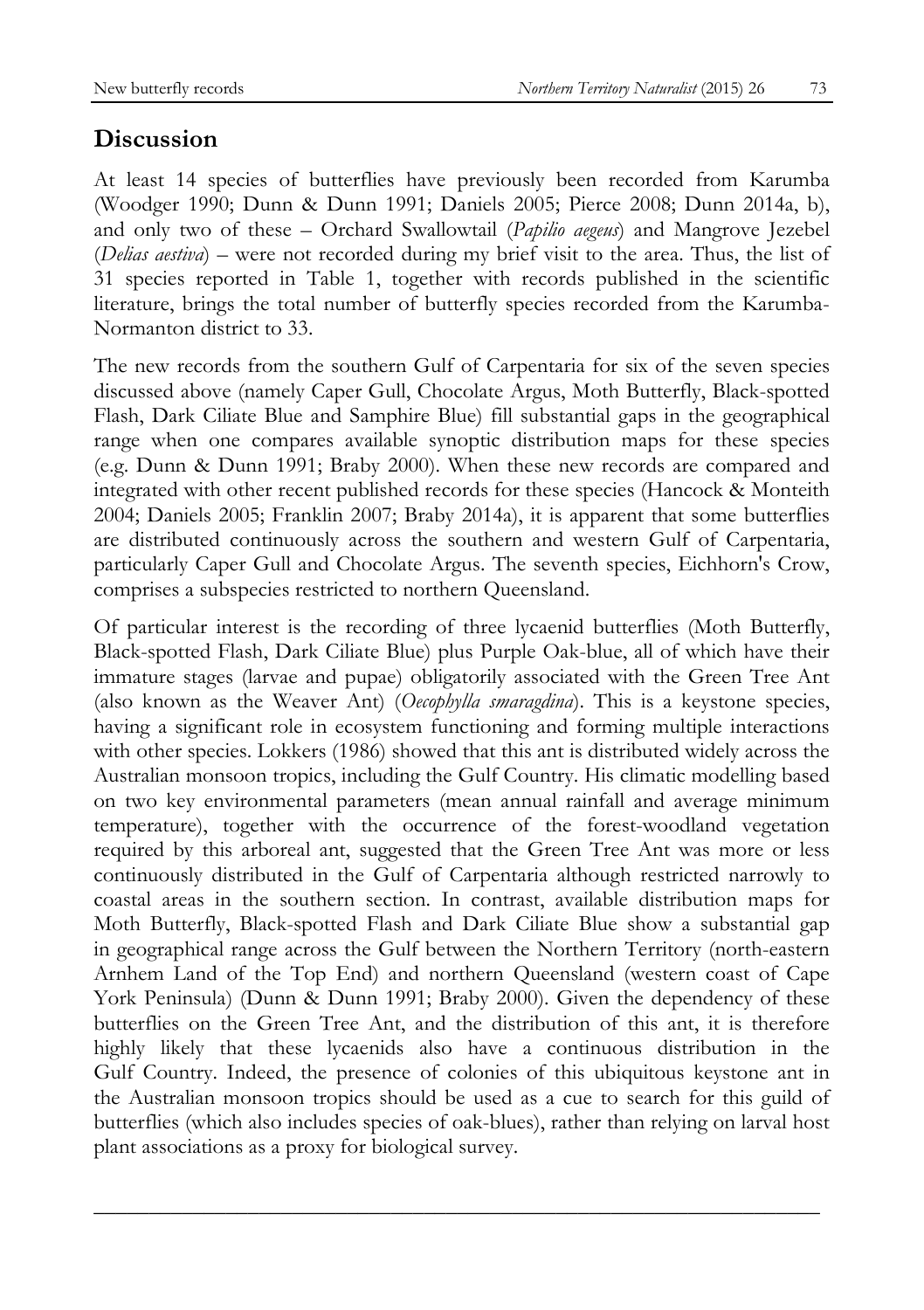## **Discussion**

At least 14 species of butterflies have previously been recorded from Karumba (Woodger 1990; Dunn & Dunn 1991; Daniels 2005; Pierce 2008; Dunn 2014a, b), and only two of these – Orchard Swallowtail (*Papilio aegeus*) and Mangrove Jezebel (*Delias aestiva*) – were not recorded during my brief visit to the area. Thus, the list of 31 species reported in Table 1, together with records published in the scientific literature, brings the total number of butterfly species recorded from the Karumba-Normanton district to 33.

The new records from the southern Gulf of Carpentaria for six of the seven species discussed above (namely Caper Gull, Chocolate Argus, Moth Butterfly, Black-spotted Flash, Dark Ciliate Blue and Samphire Blue) fill substantial gaps in the geographical range when one compares available synoptic distribution maps for these species (e.g. Dunn & Dunn 1991; Braby 2000). When these new records are compared and integrated with other recent published records for these species (Hancock & Monteith 2004; Daniels 2005; Franklin 2007; Braby 2014a), it is apparent that some butterflies are distributed continuously across the southern and western Gulf of Carpentaria, particularly Caper Gull and Chocolate Argus. The seventh species, Eichhorn's Crow, comprises a subspecies restricted to northern Queensland.

Of particular interest is the recording of three lycaenid butterflies (Moth Butterfly, Black-spotted Flash, Dark Ciliate Blue) plus Purple Oak-blue, all of which have their immature stages (larvae and pupae) obligatorily associated with the Green Tree Ant (also known as the Weaver Ant) (*Oecophylla smaragdina*). This is a keystone species, having a significant role in ecosystem functioning and forming multiple interactions with other species. Lokkers (1986) showed that this ant is distributed widely across the Australian monsoon tropics, including the Gulf Country. His climatic modelling based on two key environmental parameters (mean annual rainfall and average minimum temperature), together with the occurrence of the forest-woodland vegetation required by this arboreal ant, suggested that the Green Tree Ant was more or less continuously distributed in the Gulf of Carpentaria although restricted narrowly to coastal areas in the southern section. In contrast, available distribution maps for Moth Butterfly, Black-spotted Flash and Dark Ciliate Blue show a substantial gap in geographical range across the Gulf between the Northern Territory (north-eastern Arnhem Land of the Top End) and northern Queensland (western coast of Cape York Peninsula) (Dunn & Dunn 1991; Braby 2000). Given the dependency of these butterflies on the Green Tree Ant, and the distribution of this ant, it is therefore highly likely that these lycaenids also have a continuous distribution in the Gulf Country. Indeed, the presence of colonies of this ubiquitous keystone ant in the Australian monsoon tropics should be used as a cue to search for this guild of butterflies (which also includes species of oak-blues), rather than relying on larval host plant associations as a proxy for biological survey.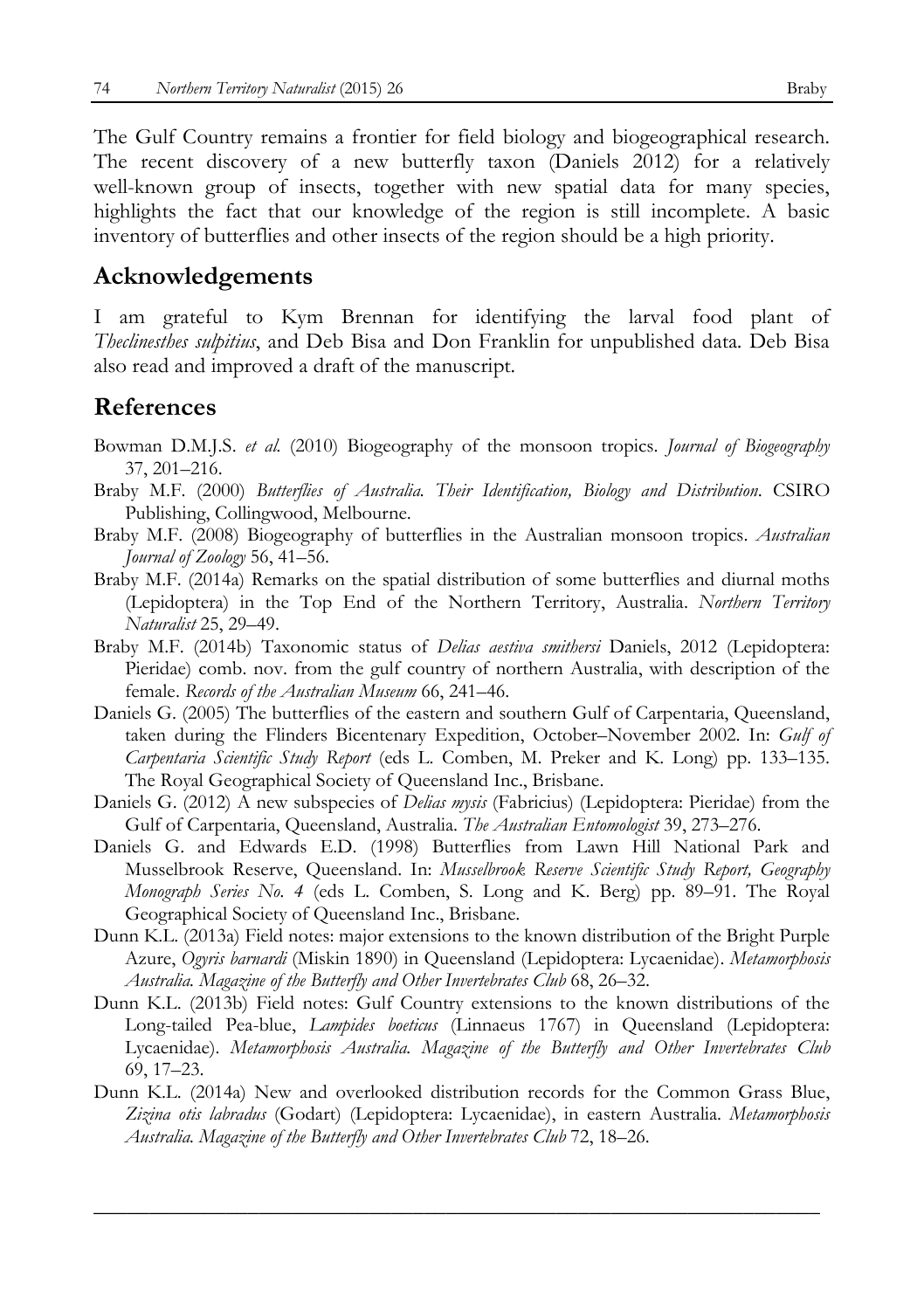The Gulf Country remains a frontier for field biology and biogeographical research. The recent discovery of a new butterfly taxon (Daniels 2012) for a relatively well-known group of insects, together with new spatial data for many species, highlights the fact that our knowledge of the region is still incomplete. A basic inventory of butterflies and other insects of the region should be a high priority.

#### **Acknowledgements**

I am grateful to Kym Brennan for identifying the larval food plant of *Theclinesthes sulpitius*, and Deb Bisa and Don Franklin for unpublished data*.* Deb Bisa also read and improved a draft of the manuscript.

### **References**

- Bowman D.M.J.S. *et al.* (2010) Biogeography of the monsoon tropics. *Journal of Biogeography* 37, 201–216.
- Braby M.F. (2000) *Butterflies of Australia. Their Identification, Biology and Distribution*. CSIRO Publishing, Collingwood, Melbourne.
- Braby M.F. (2008) Biogeography of butterflies in the Australian monsoon tropics. *Australian Journal of Zoology* 56, 41–56.
- Braby M.F. (2014a) Remarks on the spatial distribution of some butterflies and diurnal moths (Lepidoptera) in the Top End of the Northern Territory, Australia. *Northern Territory Naturalist* 25, 29–49.
- Braby M.F. (2014b) Taxonomic status of *Delias aestiva smithersi* Daniels, 2012 (Lepidoptera: Pieridae) comb. nov. from the gulf country of northern Australia, with description of the female. *Records of the Australian Museum* 66, 241–46.
- Daniels G. (2005) The butterflies of the eastern and southern Gulf of Carpentaria, Queensland, taken during the Flinders Bicentenary Expedition, October–November 2002. In: *Gulf of Carpentaria Scientific Study Report* (eds L. Comben, M. Preker and K. Long) pp. 133–135. The Royal Geographical Society of Queensland Inc., Brisbane.
- Daniels G. (2012) A new subspecies of *Delias mysis* (Fabricius) (Lepidoptera: Pieridae) from the Gulf of Carpentaria, Queensland, Australia. *The Australian Entomologist* 39, 273–276.
- Daniels G. and Edwards E.D. (1998) Butterflies from Lawn Hill National Park and Musselbrook Reserve, Queensland. In: *Musselbrook Reserve Scientific Study Report, Geography Monograph Series No. 4* (eds L. Comben, S. Long and K. Berg) pp. 89–91. The Royal Geographical Society of Queensland Inc., Brisbane.
- Dunn K.L. (2013a) Field notes: major extensions to the known distribution of the Bright Purple Azure, *Ogyris barnardi* (Miskin 1890) in Queensland (Lepidoptera: Lycaenidae). *Metamorphosis Australia. Magazine of the Butterfly and Other Invertebrates Club* 68, 26–32.
- Dunn K.L. (2013b) Field notes: Gulf Country extensions to the known distributions of the Long-tailed Pea-blue, *Lampides boeticus* (Linnaeus 1767) in Queensland (Lepidoptera: Lycaenidae). *Metamorphosis Australia. Magazine of the Butterfly and Other Invertebrates Club* 69, 17–23.
- Dunn K.L. (2014a) New and overlooked distribution records for the Common Grass Blue, *Zizina otis labradus* (Godart) (Lepidoptera: Lycaenidae), in eastern Australia. *Metamorphosis Australia. Magazine of the Butterfly and Other Invertebrates Club* 72, 18–26.